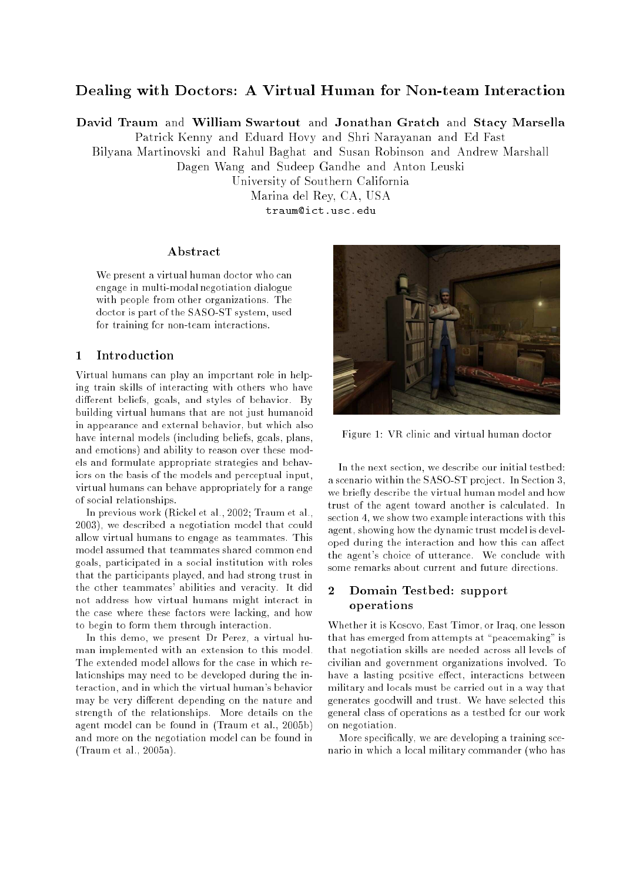# Dealing with Doctors: A Virtual Human for Non-team Interaction

David Traum and William Swartout and Jonathan Gratch and Stacy Marsella

Patri
k Kenny and Eduard Hovy and Shri Narayanan and Ed Fast

Bilyana Martinovski and Rahul Baghat and Susan Robinson and Andrew Marshall

Dagen Wang and Sudeep Gandhe and Anton Leuski

University of Southern California Marina del Rey, CA, USA

traum@ict.usc.edu

#### **Abstract**

We present a virtual human doctor who can engage in multi-modal negotiation dialogue with people from other organizations. The do
tor is part of the SASO-ST system, used for training for non-team interactions.

#### $\mathbf{1}$

Virtual humans 
an play an important role in helping train skills of interacting with others who have different beliefs, goals, and styles of behavior. By building virtual humans that are not just humanoid in appearan
e and external behavior, but whi
h also have internal models (including beliefs, goals, plans, and emotions) and ability to reason over these models and formulate appropriate strategies and behaviors on the basis of the models and per
eptual input, virtual humans 
an behave appropriately for a range of so
ial relationships.

In previous work (Rickel et al., 2002; Traum et al., 2003), we des
ribed a negotiation model that 
ould allow virtual humans to engage as teammates. This model assumed that teammates shared 
ommon end goals, parti
ipated in a so
ial institution with roles that the parti
ipants played, and had strong trust in the other teammates' abilities and veracity. It did not address how virtual humans might intera
t in the case where these factors were lacking, and how to begin to form them through interaction.

In this demo, we present Dr Perez, a virtual human implemented with an extension to this model. The extended model allows for the case in which relationships may need to be developed during the interaction, and in which the virtual human's behavior may be very different depending on the nature and strength of the relationships. More details on the agent model 
an be found in (Traum et al., 2005b) and more on the negotiation model 
an be found in (Traum et al., 2005a).



Figure 1: VR clinic and virtual human doctor

In the next section, we describe our initial testbed: a scenario within the SASO-ST project. In Section 3, we briefly describe the virtual human model and how trust of the agent toward another is calculated. In section 4, we show two example interactions with this agent, showing how the dynami
 trust model is developed during the interaction and how this can affect the agent's choice of utterance. We conclude with some remarks about current and future directions.

## 2 Domain Testbed: support operations

Whether it is Kosovo, East Timor, or Iraq, one lesson that has emerged from attempts at "peacemaking" is that negotiation skills are needed a
ross all levels of ivilian and government organizations involved. To have a lasting positive effect, interactions between military and locals must be carried out in a way that generates goodwill and trust. We have sele
ted this general 
lass of operations as a testbed for our work on negotiation.

More specifically, we are developing a training scenario in whi
h a lo
al military 
ommander (who has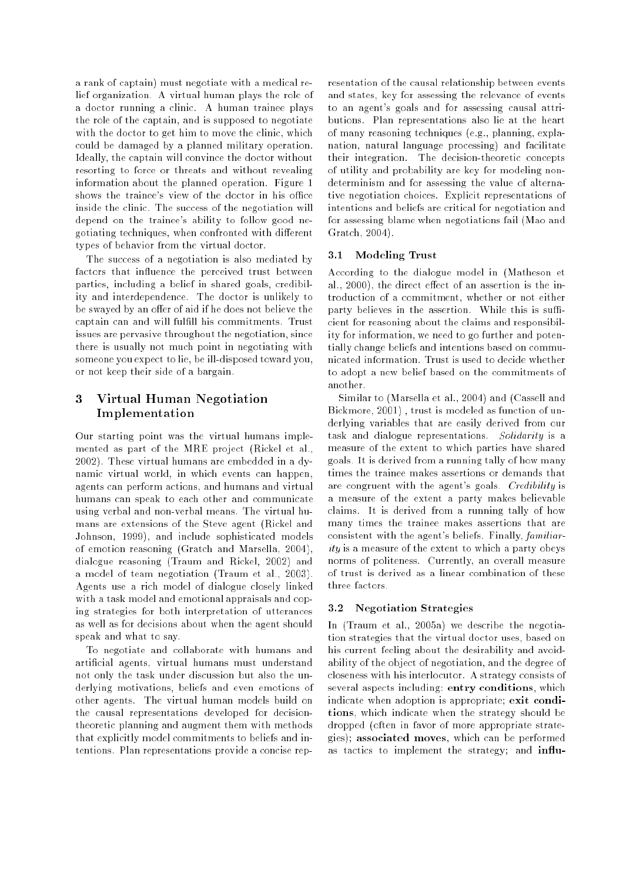a rank of captain) must negotiate with a medical relief organization. A virtual human plays the role of a doctor running a clinic. A human trainee plays the role of the 
aptain, and is supposed to negotiate with the doctor to get him to move the clinic, which ould be damaged by a planned military operation. Ideally, the captain will convince the doctor without resorting to for
e or threats and without revealing information about the planned operation. Figure 1 shows the trainee's view of the doctor in his office inside the clinic. The success of the negotiation will depend on the trainee's ability to follow good negotiating techniques, when confronted with different types of behavior from the virtual doctor.

The success of a negotiation is also mediated by factors that influence the perceived trust between parties, including a belief in shared goals, credibility and interdependence. The doctor is unlikely to be swayed by an offer of aid if he does not believe the captain can and will fulfill his commitments. Trust issues are pervasive throughout the negotiation, sin
e there is usually not mu
h point in negotiating with someone you expe
t to lie, be ill-disposed toward you, or not keep their side of a bargain.

#### 3 3 Virtual Human Negotiation Implementation

Our starting point was the virtual humans implemented as part of the MRE project (Rickel et al., 2002). These virtual humans are embedded in a dynamic virtual world, in which events can happen, agents can perform actions, and humans and virtual humans can speak to each other and communicate using verbal and non-verbal means. The virtual humans are extensions of the Steve agent (Rickel and Johnson, 1999), and include sophisticated models of emotion reasoning (Grat
h and Marsella, 2004), dialogue reasoning (Traum and Ri
kel, 2002) and a model of team negotiation (Traum et al., 2003). Agents use a rich model of dialogue closely linked with a task model and emotional appraisals and coping strategies for both interpretation of utteran
es as well as for decisions about when the agent should speak and what to say.

To negotiate and ollaborate with humans and arti
ial agents, virtual humans must understand not only the task under dis
ussion but also the underlying motivations, beliefs and even emotions of other agents. The virtual human models build on the causal representations developed for decisiontheoreti
 planning and augment them with methods that explicitly model commitments to beliefs and intentions. Plan representations provide a concise rep-

resentation of the 
ausal relationship between events and states, key for assessing the relevan
e of events to an agent's goals and for assessing causal attributions. Plan representations also lie at the heart of many reasoning te
hniques (e.g., planning, explanation, natural language processing) and facilitate their integration. The decision-theoretic concepts of utility and probability are key for modeling nondeterminism and for assessing the value of alternative negotiation choices. Explicit representations of intentions and beliefs are critical for negotiation and for assessing blame when negotiations fail (Mao and Grat
h, 2004).

### 3.1 Modeling Trust

According to the dialogue model in (Matheson et al., 2000), the direct effect of an assertion is the introduction of a commitment, whether or not either party believes in the assertion. While this is sufficient for reasoning about the claims and responsibility for information, we need to go further and potentially change beliefs and intentions based on communi
ated information. Trust is used to de
ide whether to adopt a new belief based on the 
ommitments of another.

Similar to (Marsella et al., 2004) and (Cassell and Bickmore, 2001), trust is modeled as function of underlying variables that are easily derived from our task and dialogue representations. Solidarity is a measure of the extent to whi
h parties have shared goals. It is derived from a running tally of how many times the trainee makes assertions or demands that are congruent with the agent's goals. Credibility is a measure of the extent a party makes believable claims. It is derived from a running tally of how many times the trainee makes assertions that are consistent with the agent's beliefs. Finally, familiar*ity* is a measure of the extent to which a party obeys norms of politeness. Currently, an overall measure of trust is derived as a linear ombination of these three factors

## 3.2 Negotiation Strategies

In (Traum et al., 2005a) we describe the negotiation strategies that the virtual doctor uses, based on his 
urrent feeling about the desirability and avoidability of the obje
t of negotiation, and the degree of closeness with his interlocutor. A strategy consists of several aspects including: entry conditions, which indicate when adoption is appropriate; exit conditions, which indicate when the strategy should be dropped (often in favor of more appropriate strategies); asso
iated moves, whi
h 
an be performed as tactics to implement the strategy; and  $\text{influ-}$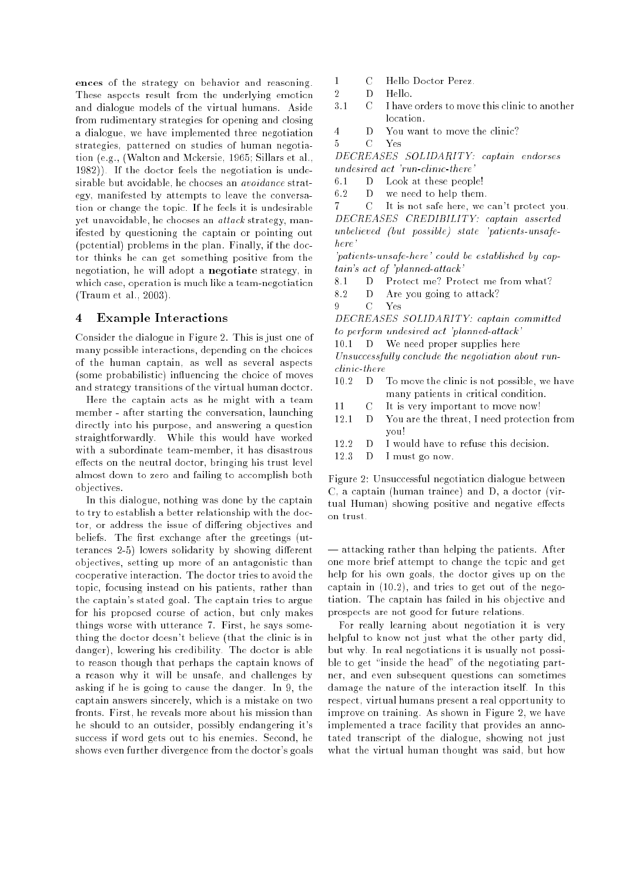ences of the strategy on behavior and reasoning. These aspects result from the underlying emotion and dialogue models of the virtual humans. Aside from rudimentary strategies for opening and closing a dialogue, we have implemented three negotiation strategies, patterned on studies of human negotiation (e.g., (Walton and M
kersie, 1965; Sillars et al., 1982)). If the do
tor feels the negotiation is undesirable but avoidable, he chooses an *avoidance* strategy, manifested by attempts to leave the onversation or 
hange the topi
. If he feels it is undesirable yet unavoidable, he 
hooses an atta
k strategy, manifested by questioning the aptain or pointing out (potential) problems in the plan. Finally, if the do
 tor thinks he an get something positive from the negotiation, he will adopt a negotiate strategy, in which case, operation is much like a team-negotiation (Traum et al., 2003).

#### $\overline{4}$ Example Interactions

Consider the dialogue in Figure 2. This is just one of many possible interactions, depending on the choices of the human aptain, as well as several aspe
ts (some probabilistic) influencing the choice of moves and strategy transitions of the virtual human doctor.

Here the captain acts as he might with a team member - after starting the conversation, launching dire
tly into his purpose, and answering a question straightforwardly. While this would have worked with a subordinate team-member, it has disastrous effects on the neutral doctor, bringing his trust level almost down to zero and failing to accomplish both obje
tives.

In this dialogue, nothing was done by the 
aptain to try to establish a better relationship with the doctor, or address the issue of differing objectives and beliefs. The first exchange after the greetings (utterances 2-5) lowers solidarity by showing different obje
tives, setting up more of an antagonisti
 than ooperative intera
tion. The do
tor tries to avoid the topic, focusing instead on his patients, rather than the 
aptain's stated goal. The 
aptain tries to argue for his proposed course of action, but only makes things worse with utteran
e 7. First, he says something the doctor doesn't believe (that the clinic is in danger), lowering his credibility. The doctor is able to reason though that perhaps the 
aptain knows of a reason why it will be unsafe, and challenges by asking if he is going to 
ause the danger. In 9, the aptain answers sin
erely, whi
h is a mistake on two fronts. First, he reveals more about his mission than he should to an outsider, possibly endangering it's success if word gets out to his enemies. Second, he shows even further divergence from the doctor's goals

- Hello Doctor Perez.  $\mathbf{1}$  $\cap$
- D  $He1lo$
- 3.1 C I have orders to move this clinic to another  $\mathcal{C}$ location
- 4 D You want to move the 
lini
? D
- 5 5 C Yes DECREASES SOLIDARITY: aptain endorses undesired act 'run-clinic-there'
- Look at these people! 61 D
- D we need to help them. 62
- 

7 C It is not safe here, we 
an't prote
t you. DECREASES CREDIBILITY: aptain asserted unbelieved (but possible) state 'patients-unsafehere'

'patients-unsafe-here' could be established by captain's act of 'planned-attack'

81 D Protect me? Protect me from what?

- 8.2 D Are you going to atta
k?
- $\overline{Q}$  $\overline{C}$ Yes

DECREASES SOLIDARITY: aptain ommitted to perform undesired act 'planned-attack'

10.1 D We need proper supplies here

Unsuccessfully conclude the negotiation about runclinic there

- 10.2 D To move the 
lini
 is not possible, we have many patients in critical condition.
- C It is very important to move now!  $11$
- 12.1 D You are the threat, I need prote
tion from  $y = -1$
- 12.2 D I would have to refuse this decision.
- 12.3 D I must go now.

Figure 2: Unsuccessful negotiation dialogue between C, a captain (human trainee) and D, a doctor (virtual Human) showing positive and negative effects on trust.

 $-$  attacking rather than helping the patients. After one more brief attempt to 
hange the topi
 and get help for his own goals, the doctor gives up on the captain in  $(10.2)$ , and tries to get out of the negotiation. The captain has failed in his objective and prospe
ts are not good for future relations.

For really learning about negotiation it is very helpful to know not just what the other party did, but why. In real negotiations it is usually not possible to get "inside the head" of the negotiating partner, and even subsequent questions an sometimes damage the nature of the interaction itself. In this respe
t, virtual humans present a real opportunity to improve on training. As shown in Figure 2, we have implemented a trace facility that provides an annotated trans
ript of the dialogue, showing not just what the virtual human thought was said, but how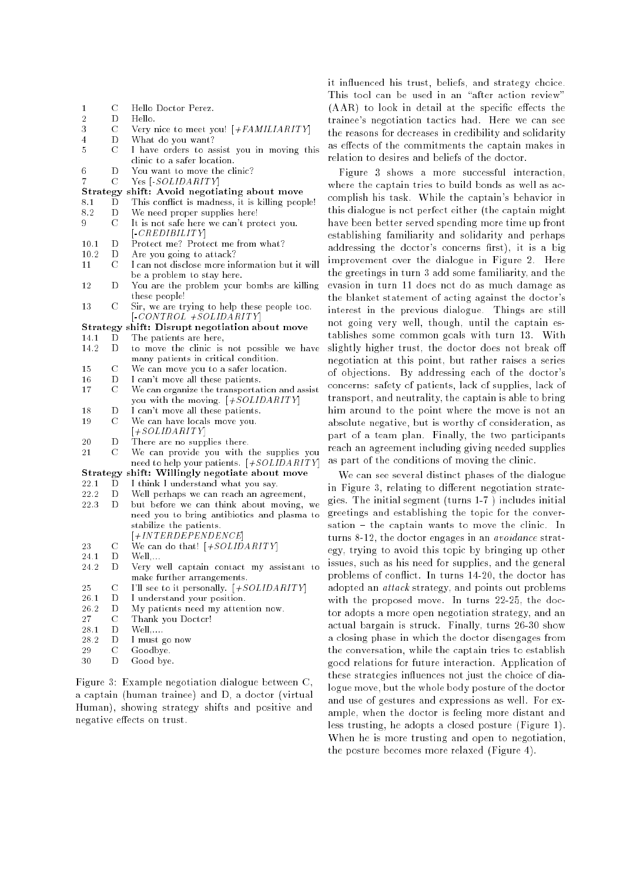|                                                          | С                                                                                                                     | Hello Doctor Perez.                                                                                          |
|----------------------------------------------------------|-----------------------------------------------------------------------------------------------------------------------|--------------------------------------------------------------------------------------------------------------|
|                                                          | D                                                                                                                     | Hello.                                                                                                       |
|                                                          |                                                                                                                       | Very nice to meet you! [+FAMILIARITY]                                                                        |
|                                                          |                                                                                                                       | What do you want?                                                                                            |
|                                                          |                                                                                                                       | I have orders to assist you in moving this<br>clinic to a safer location.                                    |
|                                                          |                                                                                                                       | You want to move the clinic?                                                                                 |
|                                                          |                                                                                                                       | Yes [-SOLIDARITY]                                                                                            |
|                                                          |                                                                                                                       | shift: Avoid negotiating about move                                                                          |
|                                                          | D                                                                                                                     | This conflict is madness, it is killing people!                                                              |
| 8.2                                                      | D                                                                                                                     | We need proper supplies here!                                                                                |
|                                                          | С                                                                                                                     | It is not safe here we can't protect you.<br>[ <i>CREDBILITY</i> ]                                           |
| 10.1                                                     | D                                                                                                                     | Protect me? Protect me from what?                                                                            |
| $10.2\,$                                                 | D                                                                                                                     | Are you going to attack?                                                                                     |
| 11                                                       | С                                                                                                                     | I can not disclose more information but it will                                                              |
|                                                          |                                                                                                                       | be a problem to stay here.                                                                                   |
| 12                                                       | D                                                                                                                     | You are the problem your bombs are killing                                                                   |
|                                                          |                                                                                                                       | these people!                                                                                                |
|                                                          |                                                                                                                       | Sir, we are trying to help these people too.<br>$[$ -CONTROL +SOLIDARITY]                                    |
| shift: Disrupt negotiation about move<br>Strategy        |                                                                                                                       |                                                                                                              |
|                                                          |                                                                                                                       | The patients are here,                                                                                       |
|                                                          |                                                                                                                       | to move the clinic is not possible we have                                                                   |
|                                                          |                                                                                                                       | many patients in critical condition.                                                                         |
|                                                          |                                                                                                                       | We can move you to a safer location.                                                                         |
|                                                          |                                                                                                                       | I can't move all these patients.                                                                             |
|                                                          |                                                                                                                       | We can organize the transportation and assist<br>you with the moving. [+SOLIDARITY]                          |
|                                                          |                                                                                                                       | I can't move all these patients.                                                                             |
|                                                          |                                                                                                                       | We can have locals move you.<br>$[+SOLIDARITY]$                                                              |
|                                                          |                                                                                                                       | There are no supplies there.                                                                                 |
|                                                          | С                                                                                                                     | We can provide you with the supplies you                                                                     |
|                                                          |                                                                                                                       | need to help your patients. [+SOLIDARITY]                                                                    |
| <b>Strategy</b><br>shift: Willingly negotiate about move |                                                                                                                       |                                                                                                              |
| $^{22.1}$                                                | D                                                                                                                     | I think I understand what you say.                                                                           |
| $^{22.2}$                                                | D                                                                                                                     | Well perhaps we can reach an agreement,                                                                      |
| 22.3                                                     | D                                                                                                                     | but before we can think about moving, we                                                                     |
|                                                          |                                                                                                                       | need you to bring antibiotics and plasma to                                                                  |
|                                                          |                                                                                                                       | stabilize the patients.                                                                                      |
|                                                          |                                                                                                                       | $[ + INTERDEPENDENCE]$                                                                                       |
|                                                          |                                                                                                                       | We can do that! [+SOLIDARITY]                                                                                |
|                                                          |                                                                                                                       | Well,                                                                                                        |
|                                                          |                                                                                                                       | Very well captain contact my assistant to<br>make further arrangements.                                      |
|                                                          |                                                                                                                       | I'll see to it personally. $[+SOLIDARITY]$                                                                   |
|                                                          |                                                                                                                       | I understand your position.                                                                                  |
|                                                          |                                                                                                                       | My patients need my attention now.                                                                           |
|                                                          | С                                                                                                                     | Thank you Doctor!                                                                                            |
| 28.1                                                     | D                                                                                                                     | $Well, \ldots$                                                                                               |
| 28.2                                                     | D                                                                                                                     | I must go now                                                                                                |
| 29                                                       | С                                                                                                                     | Goodbye.                                                                                                     |
| 30                                                       | D                                                                                                                     | Good bye.                                                                                                    |
|                                                          | 8.1<br>13<br>14.1<br>14.2<br>15<br>16<br>17<br>18<br>19<br>20<br>21<br>23<br>24.1<br>24.2<br>25<br>26.1<br>26.2<br>27 | С<br>D<br>С<br>D<br>С<br>Strategy<br>С<br>D<br>D<br>С<br>D<br>С<br>D<br>С<br>D<br>С<br>D<br>D<br>С<br>D<br>D |

Figure 3: Example negotiation dialogue between C, a captain (human trainee) and D, a doctor (virtual Human), showing strategy shifts and positive and negative effects on trust.

it influenced his trust, beliefs, and strategy choice. This tool can be used in an "after action review"  $(AAR)$  to look in detail at the specific effects the trainee's negotiation tactics had. Here we can see the reasons for decreases in credibility and solidarity as effects of the commitments the captain makes in relation to desires and beliefs of the doctor.

Figure 3 shows a more successful interaction, where the captain tries to build bonds as well as acomplish his task. While the aptain's behavior in this dialogue is not perfe
t either (the 
aptain might have been better served spending more time up front establishing familiarity and solidarity and perhaps addressing the doctor's concerns first), it is a big improvement over the dialogue in Figure 2. Here the greetings in turn 3 add some familiarity, and the evasion in turn 11 does not do as mu
h damage as the blanket statement of acting against the doctor's interest in the previous dialogue. Things are still not going very well, though, until the aptain establishes some ommon goals with turn 13. With slightly higher trust, the doctor does not break off negotiation at this point, but rather raises a series of objections. By addressing each of the doctor's on
erns: safety of patients, la
k of supplies, la
k of transport, and neutrality, the 
aptain is able to bring him around to the point where the move is not an absolute negative, but is worthy of consideration, as part of a team plan. Finally, the two participants rea
h an agreement in
luding giving needed supplies as part of the conditions of moving the clinic.

We can see several distinct phases of the dialogue in Figure 3, relating to different negotiation strategies. The initial segment (turns 1-7 ) in
ludes initial greetings and establishing the topic for the conversation - the captain wants to move the clinic. In turns 8-12, the doctor engages in an *avoidance* strategy, trying to avoid this topic by bringing up other issues, su
h as his need for supplies, and the general problems of conflict. In turns 14-20, the doctor has adopted an *attack* strategy, and points out problems with the proposed move. In turns 22-25, the doctor adopts a more open negotiation strategy, and an a
tual bargain is stru
k. Finally, turns 26-30 show a 
losing phase in whi
h the do
tor disengages from the 
onversation, while the 
aptain tries to establish good relations for future intera
tion. Appli
ation of these strategies influences not just the choice of dialogue move, but the whole body posture of the doctor and use of gestures and expressions as well. For example, when the doctor is feeling more distant and less trusting, he adopts a 
losed posture (Figure 1). When he is more trusting and open to negotiation, the posture be
omes more relaxed (Figure 4).